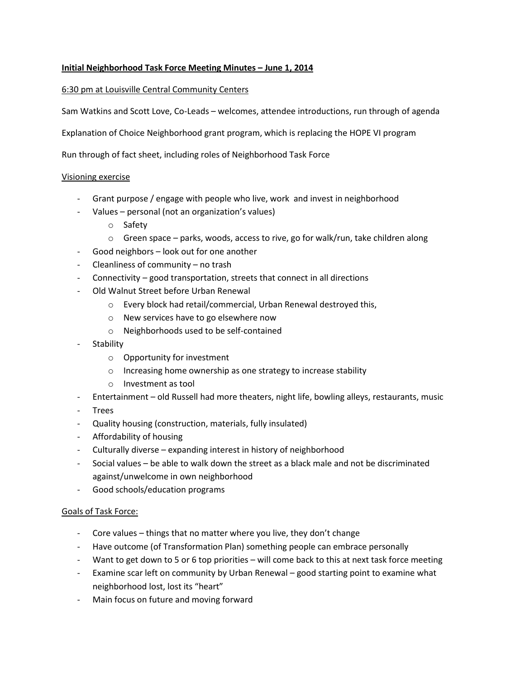# **Initial Neighborhood Task Force Meeting Minutes – June 1, 2014**

### 6:30 pm at Louisville Central Community Centers

Sam Watkins and Scott Love, Co-Leads – welcomes, attendee introductions, run through of agenda

Explanation of Choice Neighborhood grant program, which is replacing the HOPE VI program

Run through of fact sheet, including roles of Neighborhood Task Force

#### Visioning exercise

- Grant purpose / engage with people who live, work and invest in neighborhood
- Values personal (not an organization's values)
	- o Safety
	- $\circ$  Green space parks, woods, access to rive, go for walk/run, take children along
- Good neighbors look out for one another
- Cleanliness of community no trash
- Connectivity good transportation, streets that connect in all directions
- Old Walnut Street before Urban Renewal
	- o Every block had retail/commercial, Urban Renewal destroyed this,
	- o New services have to go elsewhere now
	- o Neighborhoods used to be self-contained
- **Stability** 
	- o Opportunity for investment
	- o Increasing home ownership as one strategy to increase stability
	- o Investment as tool
- Entertainment old Russell had more theaters, night life, bowling alleys, restaurants, music
- Trees
- Quality housing (construction, materials, fully insulated)
- Affordability of housing
- Culturally diverse expanding interest in history of neighborhood
- Social values be able to walk down the street as a black male and not be discriminated against/unwelcome in own neighborhood
- Good schools/education programs

#### Goals of Task Force:

- Core values things that no matter where you live, they don't change
- Have outcome (of Transformation Plan) something people can embrace personally
- Want to get down to 5 or 6 top priorities will come back to this at next task force meeting
- Examine scar left on community by Urban Renewal good starting point to examine what neighborhood lost, lost its "heart"
- Main focus on future and moving forward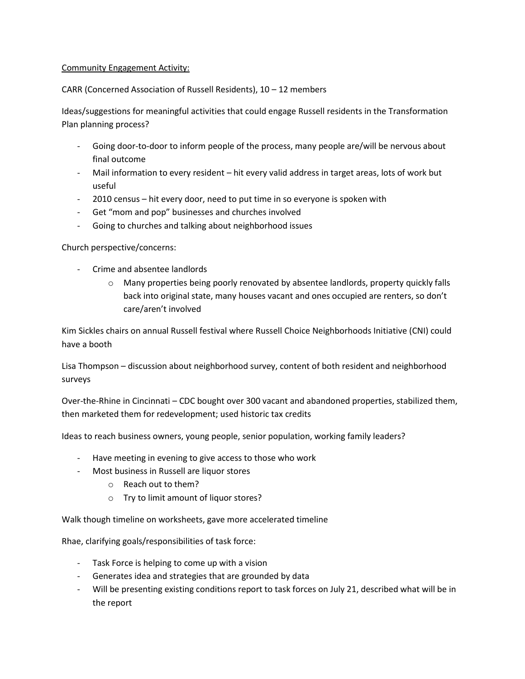### Community Engagement Activity:

## CARR (Concerned Association of Russell Residents), 10 – 12 members

Ideas/suggestions for meaningful activities that could engage Russell residents in the Transformation Plan planning process?

- Going door-to-door to inform people of the process, many people are/will be nervous about final outcome
- Mail information to every resident hit every valid address in target areas, lots of work but useful
- 2010 census hit every door, need to put time in so everyone is spoken with
- Get "mom and pop" businesses and churches involved
- Going to churches and talking about neighborhood issues

## Church perspective/concerns:

- Crime and absentee landlords
	- o Many properties being poorly renovated by absentee landlords, property quickly falls back into original state, many houses vacant and ones occupied are renters, so don't care/aren't involved

Kim Sickles chairs on annual Russell festival where Russell Choice Neighborhoods Initiative (CNI) could have a booth

Lisa Thompson – discussion about neighborhood survey, content of both resident and neighborhood surveys

Over-the-Rhine in Cincinnati – CDC bought over 300 vacant and abandoned properties, stabilized them, then marketed them for redevelopment; used historic tax credits

Ideas to reach business owners, young people, senior population, working family leaders?

- Have meeting in evening to give access to those who work
- Most business in Russell are liquor stores
	- o Reach out to them?
	- o Try to limit amount of liquor stores?

Walk though timeline on worksheets, gave more accelerated timeline

Rhae, clarifying goals/responsibilities of task force:

- Task Force is helping to come up with a vision
- Generates idea and strategies that are grounded by data
- Will be presenting existing conditions report to task forces on July 21, described what will be in the report